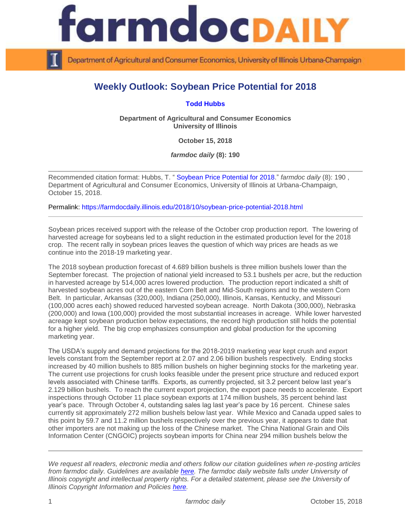

Department of Agricultural and Consumer Economics, University of Illinois Urbana-Champaign

## **Weekly Outlook: Soybean Price Potential for 2018**

**[Todd Hubbs](https://ace.illinois.edu/directory/jhubbs3)**

**Department of Agricultural and Consumer Economics University of Illinois**

**October 15, 2018**

*farmdoc daily* **(8): 190**

Recommended citation format: Hubbs, T. " [Soybean Price Potential for 2018.](https://farmdocdaily.illinois.edu/2018/10/soybean-price-potential-2018.html)" *farmdoc daily* (8): 190 , Department of Agricultural and Consumer Economics, University of Illinois at Urbana-Champaign, October 15, 2018.

Permalink:<https://farmdocdaily.illinois.edu/2018/10/soybean-price-potential-2018.html>

Soybean prices received support with the release of the October crop production report. The lowering of harvested acreage for soybeans led to a slight reduction in the estimated production level for the 2018 crop. The recent rally in soybean prices leaves the question of which way prices are heads as we continue into the 2018-19 marketing year.

The 2018 soybean production forecast of 4.689 billion bushels is three million bushels lower than the September forecast. The projection of national yield increased to 53.1 bushels per acre, but the reduction in harvested acreage by 514,000 acres lowered production. The production report indicated a shift of harvested soybean acres out of the eastern Corn Belt and Mid-South regions and to the western Corn Belt. In particular, Arkansas (320,000), Indiana (250,000), Illinois, Kansas, Kentucky, and Missouri (100,000 acres each) showed reduced harvested soybean acreage. North Dakota (300,000), Nebraska (200,000) and Iowa (100,000) provided the most substantial increases in acreage. While lower harvested acreage kept soybean production below expectations, the record high production still holds the potential for a higher yield. The big crop emphasizes consumption and global production for the upcoming marketing year.

The USDA's supply and demand projections for the 2018-2019 marketing year kept crush and export levels constant from the September report at 2.07 and 2.06 billion bushels respectively. Ending stocks increased by 40 million bushels to 885 million bushels on higher beginning stocks for the marketing year. The current use projections for crush looks feasible under the present price structure and reduced export levels associated with Chinese tariffs. Exports, as currently projected, sit 3.2 percent below last year's 2.129 billion bushels. To reach the current export projection, the export pace needs to accelerate. Export inspections through October 11 place soybean exports at 174 million bushels, 35 percent behind last year's pace. Through October 4, outstanding sales lag last year's pace by 16 percent. Chinese sales currently sit approximately 272 million bushels below last year. While Mexico and Canada upped sales to this point by 59.7 and 11.2 million bushels respectively over the previous year, it appears to date that other importers are not making up the loss of the Chinese market. The China National Grain and Oils Information Center (CNGOIC) projects soybean imports for China near 294 million bushels below the

*We request all readers, electronic media and others follow our citation guidelines when re-posting articles from farmdoc daily. Guidelines are available [here.](http://farmdocdaily.illinois.edu/citationguide.html) The farmdoc daily website falls under University of Illinois copyright and intellectual property rights. For a detailed statement, please see the University of Illinois Copyright Information and Policies [here.](http://www.cio.illinois.edu/policies/copyright/)*